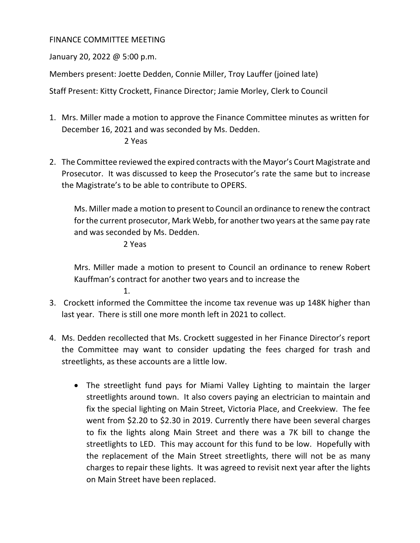## FINANCE COMMITTEE MEETING

January 20, 2022 @ 5:00 p.m.

Members present: Joette Dedden, Connie Miller, Troy Lauffer (joined late)

Staff Present: Kitty Crockett, Finance Director; Jamie Morley, Clerk to Council

1. Mrs. Miller made a motion to approve the Finance Committee minutes as written for December 16, 2021 and was seconded by Ms. Dedden.

## 2 Yeas

2. The Committee reviewed the expired contracts with the Mayor's Court Magistrate and Prosecutor. It was discussed to keep the Prosecutor's rate the same but to increase the Magistrate's to be able to contribute to OPERS.

Ms. Miller made a motion to present to Council an ordinance to renew the contract for the current prosecutor, Mark Webb, for another two years at the same pay rate and was seconded by Ms. Dedden.

## 2 Yeas

1.

Mrs. Miller made a motion to present to Council an ordinance to renew Robert Kauffman's contract for another two years and to increase the

- 3. Crockett informed the Committee the income tax revenue was up 148K higher than last year. There is still one more month left in 2021 to collect.
- 4. Ms. Dedden recollected that Ms. Crockett suggested in her Finance Director's report the Committee may want to consider updating the fees charged for trash and streetlights, as these accounts are a little low.
	- The streetlight fund pays for Miami Valley Lighting to maintain the larger streetlights around town. It also covers paying an electrician to maintain and fix the special lighting on Main Street, Victoria Place, and Creekview. The fee went from \$2.20 to \$2.30 in 2019. Currently there have been several charges to fix the lights along Main Street and there was a 7K bill to change the streetlights to LED. This may account for this fund to be low. Hopefully with the replacement of the Main Street streetlights, there will not be as many charges to repair these lights. It was agreed to revisit next year after the lights on Main Street have been replaced.